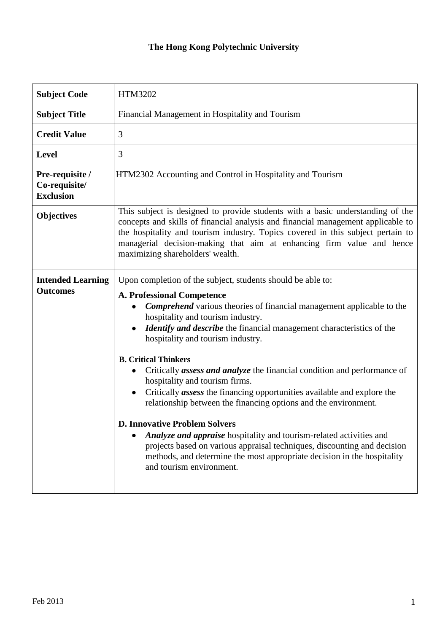## **The Hong Kong Polytechnic University**

| <b>Subject Code</b>                                  | HTM3202                                                                                                                                                                                                                                                                                                                                                                                                                                                                                                                                                                                                                                                                                                                                                                                                                                                                                                                                                     |
|------------------------------------------------------|-------------------------------------------------------------------------------------------------------------------------------------------------------------------------------------------------------------------------------------------------------------------------------------------------------------------------------------------------------------------------------------------------------------------------------------------------------------------------------------------------------------------------------------------------------------------------------------------------------------------------------------------------------------------------------------------------------------------------------------------------------------------------------------------------------------------------------------------------------------------------------------------------------------------------------------------------------------|
| <b>Subject Title</b>                                 | Financial Management in Hospitality and Tourism                                                                                                                                                                                                                                                                                                                                                                                                                                                                                                                                                                                                                                                                                                                                                                                                                                                                                                             |
| <b>Credit Value</b>                                  | 3                                                                                                                                                                                                                                                                                                                                                                                                                                                                                                                                                                                                                                                                                                                                                                                                                                                                                                                                                           |
| <b>Level</b>                                         | 3                                                                                                                                                                                                                                                                                                                                                                                                                                                                                                                                                                                                                                                                                                                                                                                                                                                                                                                                                           |
| Pre-requisite /<br>Co-requisite/<br><b>Exclusion</b> | HTM2302 Accounting and Control in Hospitality and Tourism                                                                                                                                                                                                                                                                                                                                                                                                                                                                                                                                                                                                                                                                                                                                                                                                                                                                                                   |
| <b>Objectives</b>                                    | This subject is designed to provide students with a basic understanding of the<br>concepts and skills of financial analysis and financial management applicable to<br>the hospitality and tourism industry. Topics covered in this subject pertain to<br>managerial decision-making that aim at enhancing firm value and hence<br>maximizing shareholders' wealth.                                                                                                                                                                                                                                                                                                                                                                                                                                                                                                                                                                                          |
| <b>Intended Learning</b><br><b>Outcomes</b>          | Upon completion of the subject, students should be able to:<br><b>A. Professional Competence</b><br><b>Comprehend</b> various theories of financial management applicable to the<br>hospitality and tourism industry.<br>Identify and describe the financial management characteristics of the<br>hospitality and tourism industry.<br><b>B. Critical Thinkers</b><br>Critically <i>assess and analyze</i> the financial condition and performance of<br>hospitality and tourism firms.<br>Critically <i>assess</i> the financing opportunities available and explore the<br>$\bullet$<br>relationship between the financing options and the environment.<br><b>D. Innovative Problem Solvers</b><br>Analyze and appraise hospitality and tourism-related activities and<br>projects based on various appraisal techniques, discounting and decision<br>methods, and determine the most appropriate decision in the hospitality<br>and tourism environment. |